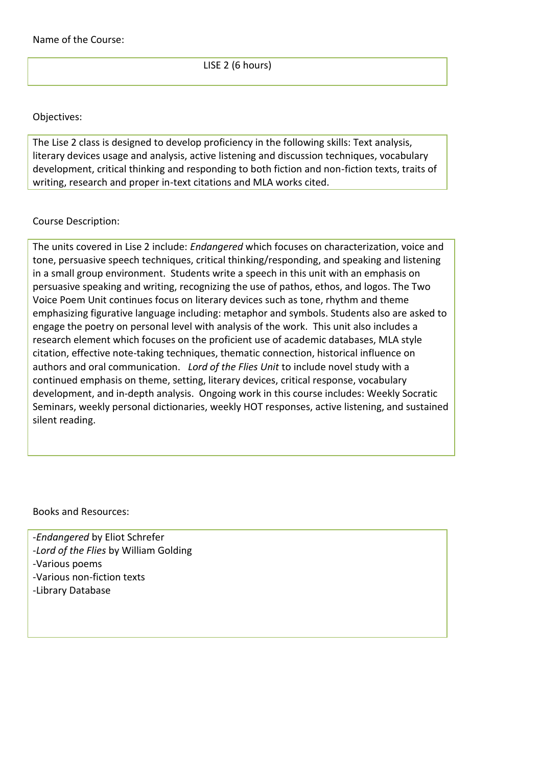LISE 2 (6 hours)

## Objectives:

The Lise 2 class is designed to develop proficiency in the following skills: Text analysis, literary devices usage and analysis, active listening and discussion techniques, vocabulary development, critical thinking and responding to both fiction and non-fiction texts, traits of writing, research and proper in-text citations and MLA works cited.

## Course Description:

The units covered in Lise 2 include: *Endangered* which focuses on characterization, voice and tone, persuasive speech techniques, critical thinking/responding, and speaking and listening in a small group environment. Students write a speech in this unit with an emphasis on persuasive speaking and writing, recognizing the use of pathos, ethos, and logos. The Two Voice Poem Unit continues focus on literary devices such as tone, rhythm and theme emphasizing figurative language including: metaphor and symbols. Students also are asked to engage the poetry on personal level with analysis of the work. This unit also includes a research element which focuses on the proficient use of academic databases, MLA style citation, effective note-taking techniques, thematic connection, historical influence on authors and oral communication. *Lord of the Flies Unit* to include novel study with a continued emphasis on theme, setting, literary devices, critical response, vocabulary development, and in-depth analysis. Ongoing work in this course includes: Weekly Socratic Seminars, weekly personal dictionaries, weekly HOT responses, active listening, and sustained silent reading.

Books and Resources:

-*Endangered* by Eliot Schrefer -*Lord of the Flies* by William Golding -Various poems -Various non-fiction texts -Library Database